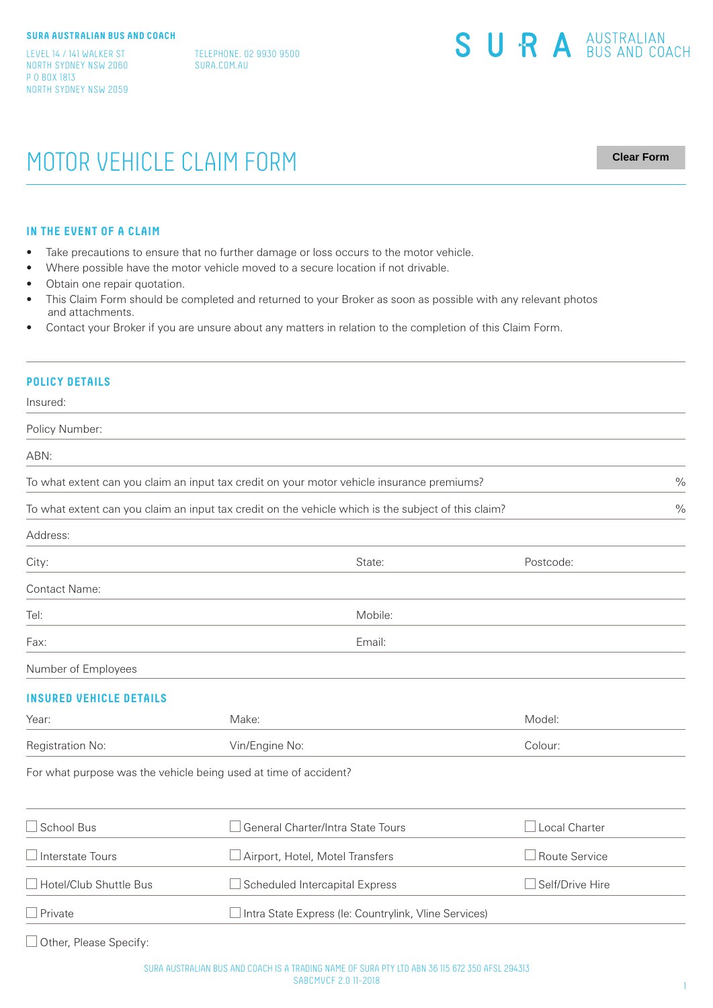LEVEL 14 / 141 WALKER ST NORTH SYDNEY NSW 2060 P O BOX 1813 NORTH SYDNEY NSW 2059 TELEPHONE. 02 9930 9500 SURA.COM.AU

# MOTOR VEHICLE CLAIM FORM

**Clear Form**

#### **IN THE EVENT OF A CLAIM**

- Take precautions to ensure that no further damage or loss occurs to the motor vehicle.
- Where possible have the motor vehicle moved to a secure location if not drivable.
- Obtain one repair quotation.
- This Claim Form should be completed and returned to your Broker as soon as possible with any relevant photos and attachments.
- Contact your Broker if you are unsure about any matters in relation to the completion of this Claim Form.

### **POLICY DETAILS**

Insured:

Policy Number:

ABN:

To what extent can you claim an input tax credit on your motor vehicle insurance premiums?

To what extent can you claim an input tax credit on the vehicle which is the subject of this claim?

| Address:            |         |           |  |
|---------------------|---------|-----------|--|
| City:               | State:  | Postcode: |  |
| Contact Name:       |         |           |  |
| Tel:                | Mobile: |           |  |
| Fax:                | Email:  |           |  |
| Number of Employees |         |           |  |

# **INSURED VEHICLE DETAILS**

| Registration No: | Vin/Engine No: | Colour: |
|------------------|----------------|---------|
| Year:            | Make:          | Model:  |

For what purpose was the vehicle being used at time of accident?

| $\Box$ School Bus             | General Charter/Intra State Tours                            | LLocal Charter         |
|-------------------------------|--------------------------------------------------------------|------------------------|
| $\Box$ Interstate Tours       | Airport, Hotel, Motel Transfers                              | $\Box$ Route Service   |
| $\Box$ Hotel/Club Shuttle Bus | $\Box$ Scheduled Intercapital Express                        | $\Box$ Self/Drive Hire |
| $\Box$ Private                | $\Box$ Intra State Express (le: Countrylink, Vline Services) |                        |

□ Other, Please Specify: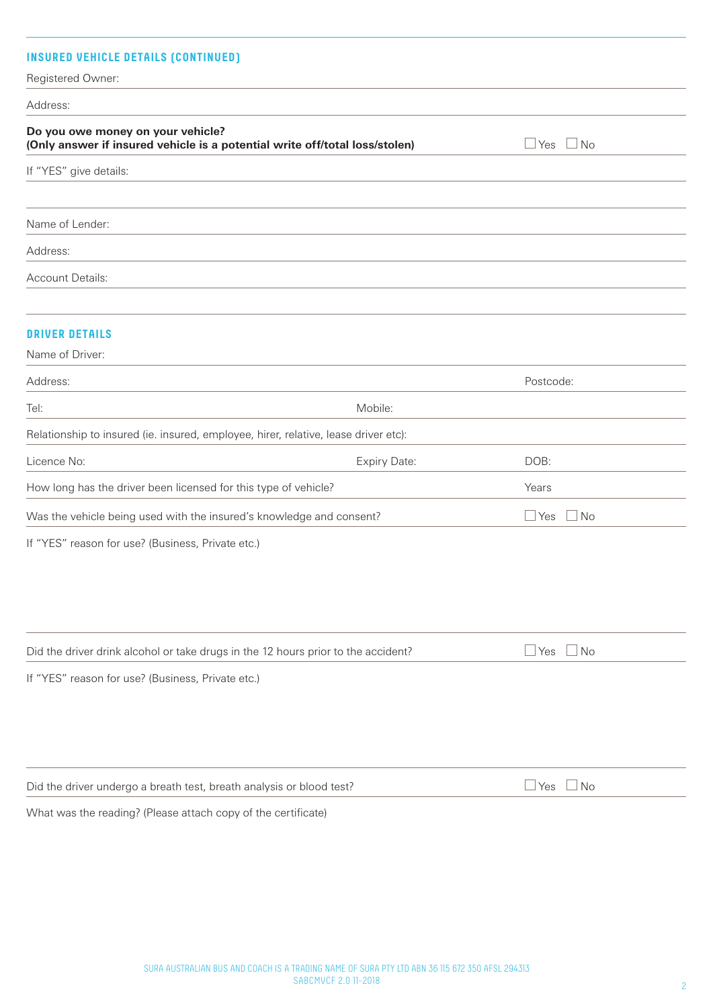| <b>INSURED VEHICLE DETAILS (CONTINUED)</b><br>Registered Owner:                                                  |                     |                            |
|------------------------------------------------------------------------------------------------------------------|---------------------|----------------------------|
| Address:                                                                                                         |                     |                            |
| Do you owe money on your vehicle?<br>(Only answer if insured vehicle is a potential write off/total loss/stolen) |                     | $\square$ Yes<br>$\Box$ No |
| If "YES" give details:                                                                                           |                     |                            |
|                                                                                                                  |                     |                            |
| Name of Lender:                                                                                                  |                     |                            |
| Address:                                                                                                         |                     |                            |
| Account Details:                                                                                                 |                     |                            |
|                                                                                                                  |                     |                            |
| <b>DRIVER DETAILS</b>                                                                                            |                     |                            |
| Name of Driver:                                                                                                  |                     |                            |
| Address:                                                                                                         |                     | Postcode:                  |
| Tel:                                                                                                             | Mobile:             |                            |
| Relationship to insured (ie. insured, employee, hirer, relative, lease driver etc):                              |                     |                            |
| Licence No:                                                                                                      | <b>Expiry Date:</b> | DOB:                       |
| How long has the driver been licensed for this type of vehicle?                                                  |                     | Years                      |
| Was the vehicle being used with the insured's knowledge and consent?                                             |                     | $\Box$ Yes<br>$\Box$ No    |
| If "YES" reason for use? (Business, Private etc.)                                                                |                     |                            |
|                                                                                                                  |                     |                            |
|                                                                                                                  |                     |                            |
|                                                                                                                  |                     |                            |
| Did the driver drink alcohol or take drugs in the 12 hours prior to the accident?                                |                     | $\Box$ No<br>$\Box$ Yes    |
| If "YES" reason for use? (Business, Private etc.)                                                                |                     |                            |
|                                                                                                                  |                     |                            |
|                                                                                                                  |                     |                            |
|                                                                                                                  |                     |                            |
| Did the driver undergo a breath test, breath analysis or blood test?                                             |                     | $\Box$ Yes $\Box$ No       |
| What was the reading? (Please attach copy of the certificate)                                                    |                     |                            |
|                                                                                                                  |                     |                            |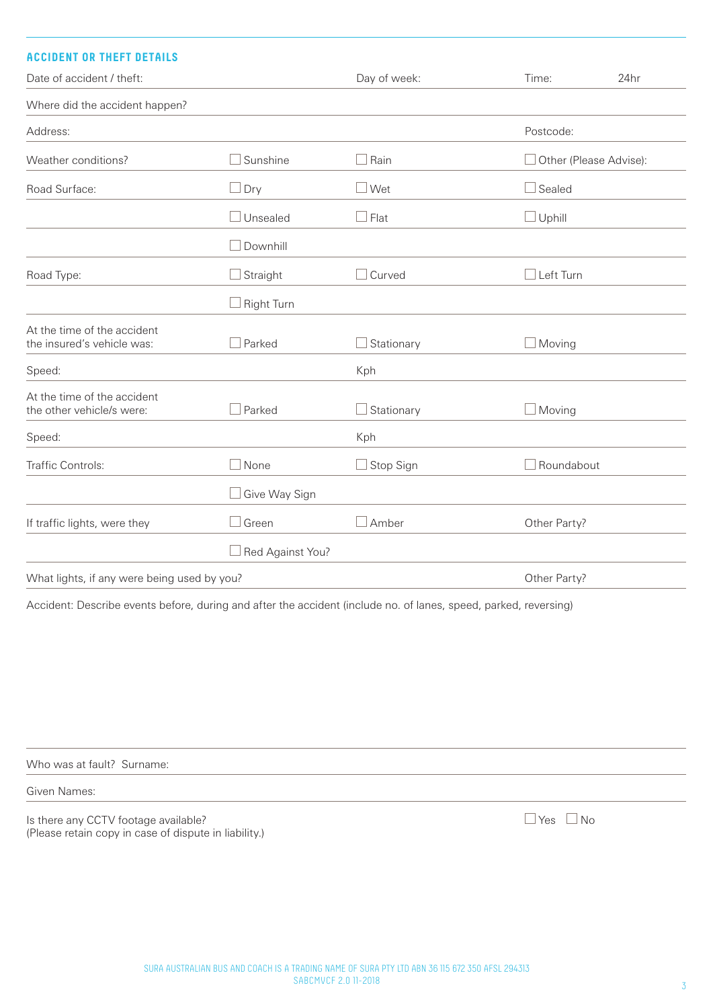| <b>ACCIDENT OR THEFT DETAILS</b>                          |                      |                   |                  |                               |
|-----------------------------------------------------------|----------------------|-------------------|------------------|-------------------------------|
| Date of accident / theft:                                 |                      | Day of week:      | Time:            | 24hr                          |
| Where did the accident happen?                            |                      |                   |                  |                               |
| Address:                                                  |                      |                   | Postcode:        |                               |
| Weather conditions?                                       | Sunshine             | $\Box$ Rain       |                  | $\Box$ Other (Please Advise): |
| Road Surface:                                             | $\Box$ Dry           | $\square$ Wet     | Sealed           |                               |
|                                                           | $\Box$ Unsealed      | $\Box$ Flat       | $\Box$ Uphill    |                               |
|                                                           | Downhill             |                   |                  |                               |
| Road Type:                                                | Straight             | $\Box$ Curved     | $\Box$ Left Turn |                               |
|                                                           | Right Turn           |                   |                  |                               |
| At the time of the accident<br>the insured's vehicle was: | $\Box$ Parked        | $\Box$ Stationary | $\Box$ Moving    |                               |
| Speed:                                                    |                      | Kph               |                  |                               |
| At the time of the accident<br>the other vehicle/s were:  | Parked               | $\Box$ Stationary | ⊥Moving          |                               |
| Speed:                                                    |                      | Kph               |                  |                               |
| Traffic Controls:                                         | $\Box$ None          | $\Box$ Stop Sign  | Roundabout       |                               |
|                                                           | $\Box$ Give Way Sign |                   |                  |                               |
| If traffic lights, were they                              | $\Box$ Green         | $\square$ Amber   | Other Party?     |                               |
|                                                           | Red Against You?     |                   |                  |                               |
| What lights, if any were being used by you?               |                      |                   | Other Party?     |                               |

Accident: Describe events before, during and after the accident (include no. of lanes, speed, parked, reversing)

Who was at fault? Surname:

Given Names:

Is there any CCTV footage available? (Please retain copy in case of dispute in liability.)  $\Box$  Yes  $\Box$  No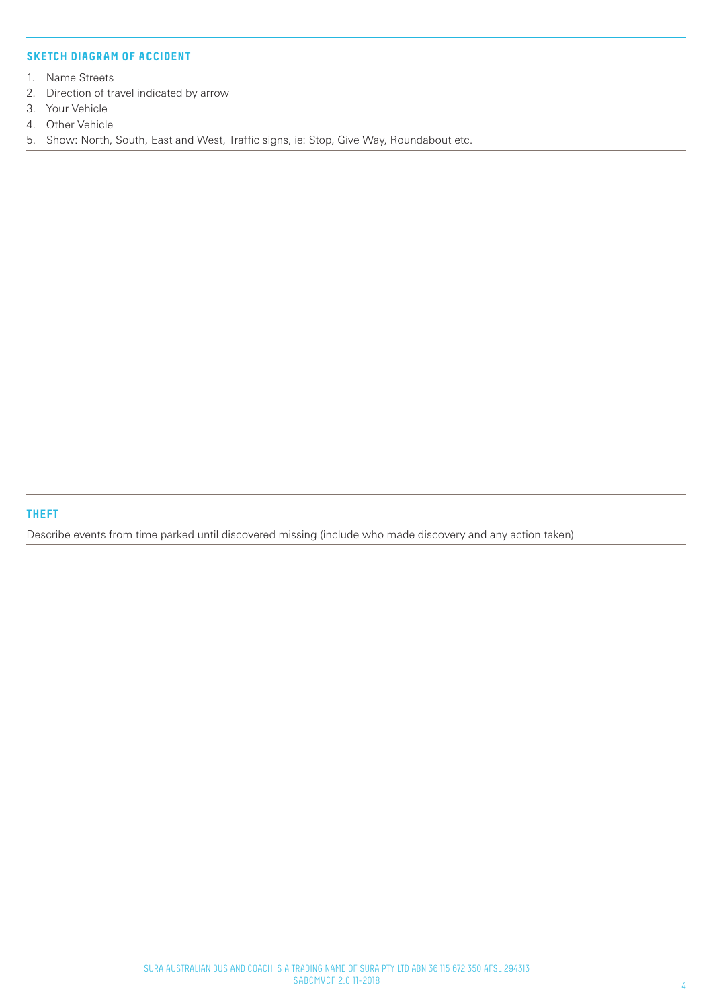# **SKETCH DIAGRAM OF ACCIDENT**

- 1. Name Streets
- 2. Direction of travel indicated by arrow
- 3. Your Vehicle
- 4. Other Vehicle
- 5. Show: North, South, East and West, Traffic signs, ie: Stop, Give Way, Roundabout etc.

**THEFT**

Describe events from time parked until discovered missing (include who made discovery and any action taken)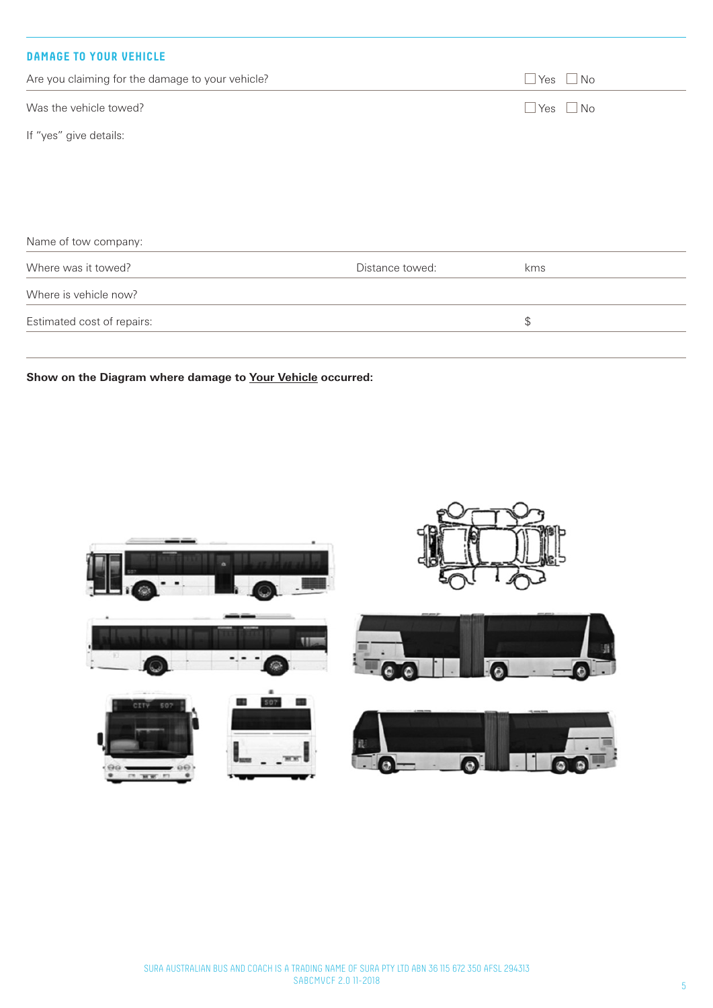| <b>DAMAGE TO YOUR VEHICLE</b>                    |                 |                      |
|--------------------------------------------------|-----------------|----------------------|
| Are you claiming for the damage to your vehicle? |                 | $\Box$ Yes $\Box$ No |
| Was the vehicle towed?                           |                 | $\Box$ Yes $\Box$ No |
| If "yes" give details:                           |                 |                      |
|                                                  |                 |                      |
| Name of tow company:                             |                 |                      |
| Where was it towed?                              | Distance towed: | kms                  |
| Where is vehicle now?                            |                 |                      |
| Estimated cost of repairs:                       |                 | $$\mathfrak{S}$$     |

**Show on the Diagram where damage to Your Vehicle occurred:**

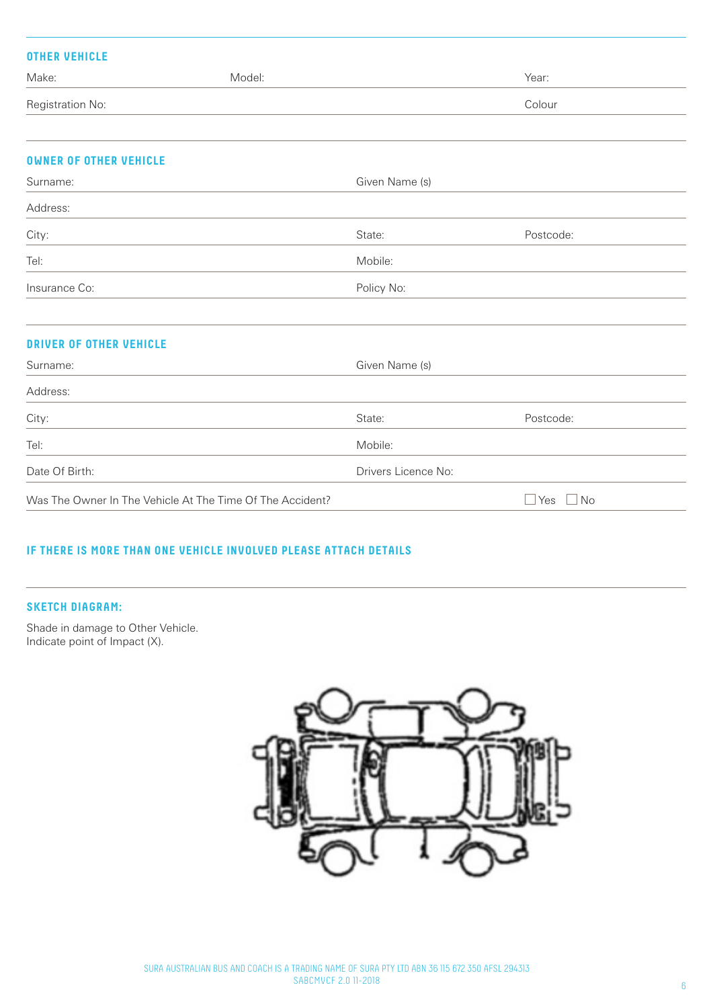| <b>OTHER VEHICLE</b>           |                                                           |                     |                     |
|--------------------------------|-----------------------------------------------------------|---------------------|---------------------|
| Make:                          | Model:                                                    |                     | Year:               |
| Registration No:               |                                                           |                     | Colour              |
|                                |                                                           |                     |                     |
| <b>OWNER OF OTHER VEHICLE</b>  |                                                           |                     |                     |
| Surname:                       |                                                           | Given Name (s)      |                     |
| Address:                       |                                                           |                     |                     |
| City:                          |                                                           | State:              | Postcode:           |
| Tel:                           |                                                           | Mobile:             |                     |
| Insurance Co:                  |                                                           | Policy No:          |                     |
| <b>DRIVER OF OTHER VEHICLE</b> |                                                           |                     |                     |
| Surname:                       |                                                           | Given Name (s)      |                     |
| Address:                       |                                                           |                     |                     |
| City:                          |                                                           | State:              | Postcode:           |
| Tel:                           |                                                           | Mobile:             |                     |
| Date Of Birth:                 |                                                           | Drivers Licence No: |                     |
|                                | Was The Owner In The Vehicle At The Time Of The Accident? |                     | $\Box$<br>Yes<br>No |

# **IF THERE IS MORE THAN ONE VEHICLE INVOLVED PLEASE ATTACH DETAILS**

# **SKETCH DIAGRAM:**

Shade in damage to Other Vehicle. Indicate point of Impact (X).

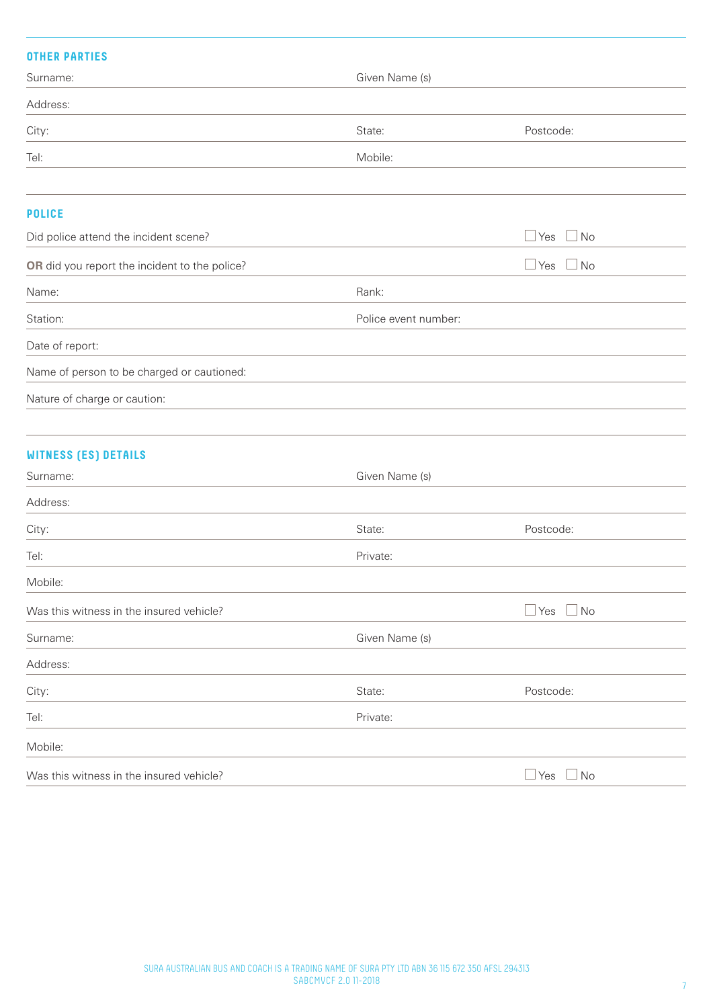# **OTHER PARTIES**

| <b>UINER PHRIIES</b>                          |                      |                         |
|-----------------------------------------------|----------------------|-------------------------|
| Surname:                                      | Given Name (s)       |                         |
| Address:                                      |                      |                         |
| City:                                         | State:               | Postcode:               |
| Tel:                                          | Mobile:              |                         |
| <b>POLICE</b>                                 |                      |                         |
| Did police attend the incident scene?         |                      | $\Box$ No<br>$\Box$ Yes |
| OR did you report the incident to the police? |                      | $\Box$ Yes<br>$\Box$ No |
| Name:                                         | Rank:                |                         |
| Station:                                      | Police event number: |                         |
| Date of report:                               |                      |                         |
| Name of person to be charged or cautioned:    |                      |                         |
| Nature of charge or caution:                  |                      |                         |
| <b>WITNESS (ES) DETAILS</b>                   |                      |                         |
| Surname:                                      | Given Name (s)       |                         |
| Address:                                      |                      |                         |
| City:                                         | State:               | Postcode:               |
| Tel:                                          | Private:             |                         |
| Mobile:                                       |                      |                         |
| Was this witness in the insured vehicle?      |                      | $\Box$ Yes<br>$\Box$ No |
| Surname:                                      | Given Name (s)       |                         |
| Address:                                      |                      |                         |
| City:                                         | State:               | Postcode:               |
| Tel:                                          | Private:             |                         |
| Mobile:                                       |                      |                         |
| Was this witness in the insured vehicle?      |                      | $\Box$ Yes<br>$\Box$ No |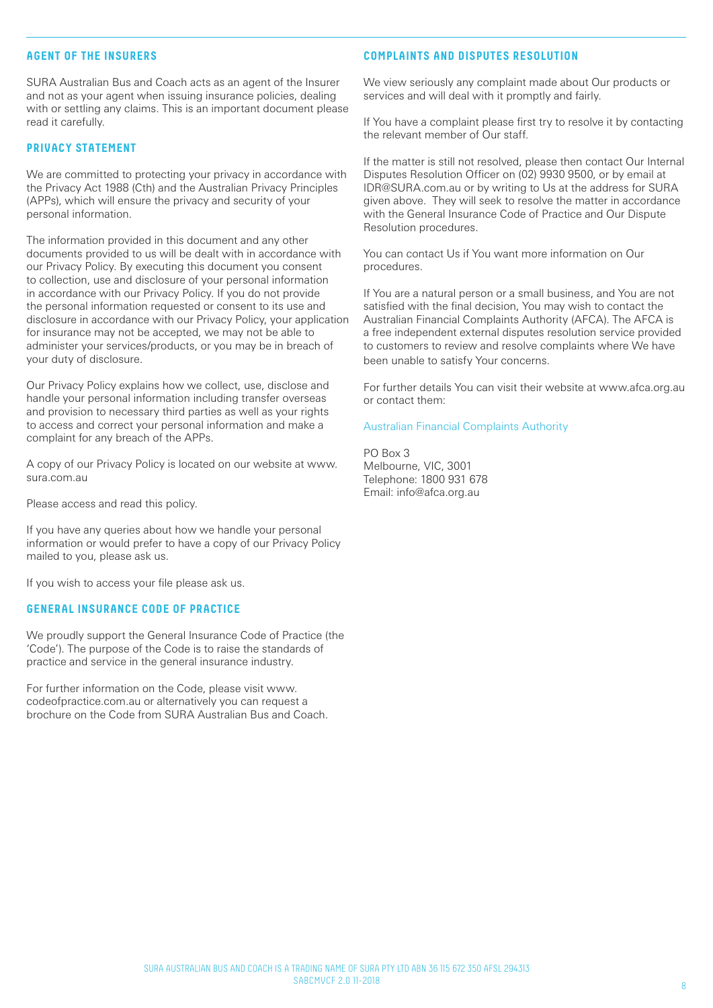# **AGENT OF THE INSURERS**

SURA Australian Bus and Coach acts as an agent of the Insurer and not as your agent when issuing insurance policies, dealing with or settling any claims. This is an important document please read it carefully.

## **PRIVACY STATEMENT**

We are committed to protecting your privacy in accordance with the Privacy Act 1988 (Cth) and the Australian Privacy Principles (APPs), which will ensure the privacy and security of your personal information.

The information provided in this document and any other documents provided to us will be dealt with in accordance with our Privacy Policy. By executing this document you consent to collection, use and disclosure of your personal information in accordance with our Privacy Policy. If you do not provide the personal information requested or consent to its use and disclosure in accordance with our Privacy Policy, your application for insurance may not be accepted, we may not be able to administer your services/products, or you may be in breach of your duty of disclosure.

Our Privacy Policy explains how we collect, use, disclose and handle your personal information including transfer overseas and provision to necessary third parties as well as your rights to access and correct your personal information and make a complaint for any breach of the APPs.

A copy of our Privacy Policy is located on our website at www. sura.com.au

Please access and read this policy.

If you have any queries about how we handle your personal information or would prefer to have a copy of our Privacy Policy mailed to you, please ask us.

If you wish to access your file please ask us.

# **GENERAL INSURANCE CODE OF PRACTICE**

We proudly support the General Insurance Code of Practice (the 'Code'). The purpose of the Code is to raise the standards of practice and service in the general insurance industry.

For further information on the Code, please visit www. codeofpractice.com.au or alternatively you can request a brochure on the Code from SURA Australian Bus and Coach.

# **COMPLAINTS AND DISPUTES RESOLUTION**

We view seriously any complaint made about Our products or services and will deal with it promptly and fairly.

If You have a complaint please first try to resolve it by contacting the relevant member of Our staff.

If the matter is still not resolved, please then contact Our Internal Disputes Resolution Officer on (02) 9930 9500, or by email at IDR@SURA.com.au or by writing to Us at the address for SURA given above. They will seek to resolve the matter in accordance with the General Insurance Code of Practice and Our Dispute Resolution procedures.

You can contact Us if You want more information on Our procedures.

If You are a natural person or a small business, and You are not satisfied with the final decision, You may wish to contact the Australian Financial Complaints Authority (AFCA). The AFCA is a free independent external disputes resolution service provided to customers to review and resolve complaints where We have been unable to satisfy Your concerns.

For further details You can visit their website at www.afca.org.au or contact them:

### Australian Financial Complaints Authority

PO Box 3 Melbourne, VIC, 3001 Telephone: 1800 931 678 Email: info@afca.org.au